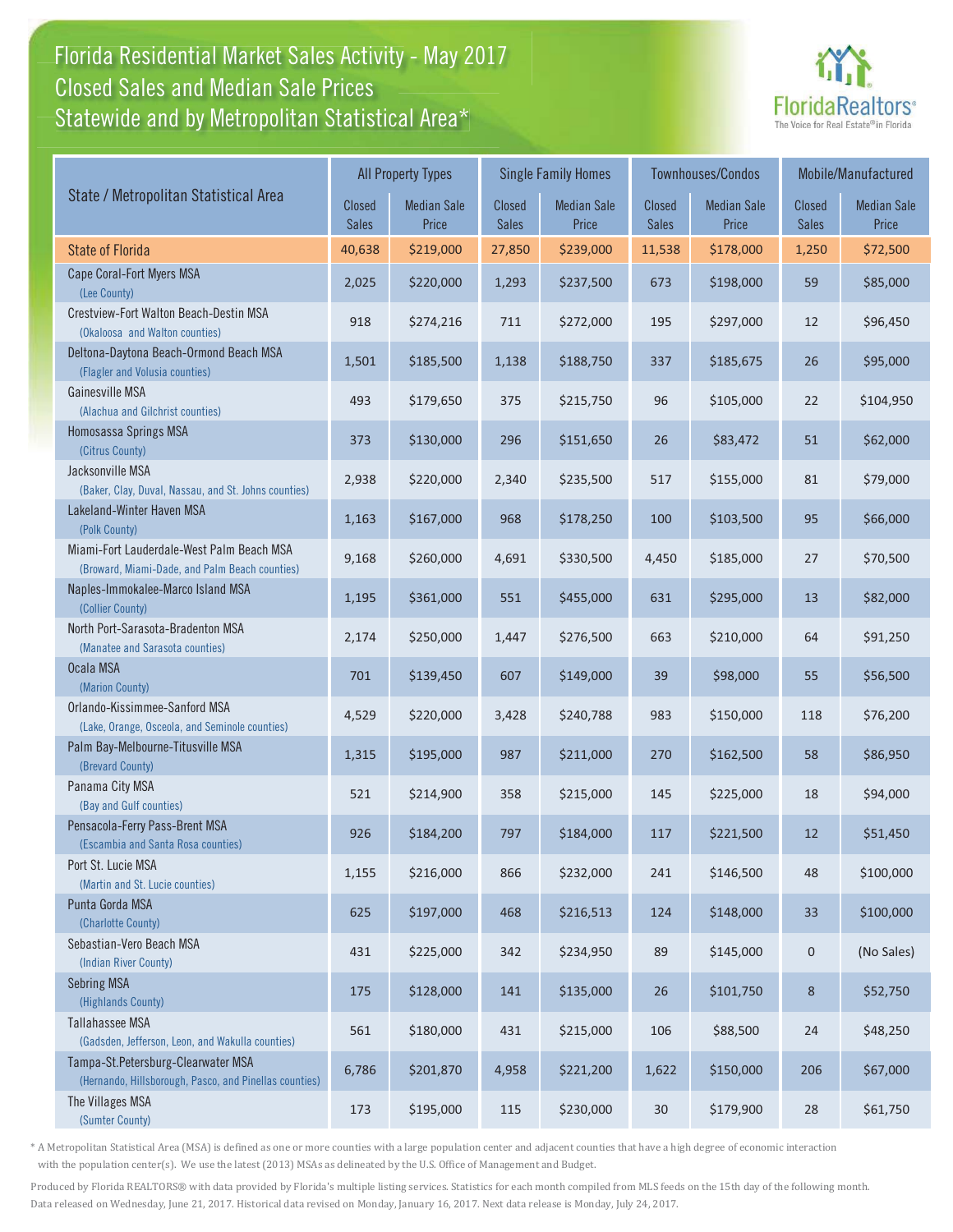## Florida Residential Market Sales Activity - May 2017 Florida Residential Market Sales Activity Statewide and by Metropolitan Statistical Area $^{\star}$ Closed Sales and Median Sale Prices



|                                                                                              | <b>All Property Types</b> |                             |                        | <b>Single Family Homes</b>  |                        | Townhouses/Condos           | Mobile/Manufactured    |                             |
|----------------------------------------------------------------------------------------------|---------------------------|-----------------------------|------------------------|-----------------------------|------------------------|-----------------------------|------------------------|-----------------------------|
| State / Metropolitan Statistical Area                                                        | Closed<br><b>Sales</b>    | <b>Median Sale</b><br>Price | Closed<br><b>Sales</b> | <b>Median Sale</b><br>Price | Closed<br><b>Sales</b> | <b>Median Sale</b><br>Price | Closed<br><b>Sales</b> | <b>Median Sale</b><br>Price |
| <b>State of Florida</b>                                                                      | 40,638                    | \$219,000                   | 27,850                 | \$239,000                   | 11,538                 | \$178,000                   | 1,250                  | \$72,500                    |
| Cape Coral-Fort Myers MSA<br>(Lee County)                                                    | 2,025                     | \$220,000                   | 1,293                  | \$237,500                   | 673                    | \$198,000                   | 59                     | \$85,000                    |
| Crestview-Fort Walton Beach-Destin MSA<br>(Okaloosa and Walton counties)                     | 918                       | \$274,216                   | 711                    | \$272,000                   | 195                    | \$297,000                   | 12                     | \$96,450                    |
| Deltona-Daytona Beach-Ormond Beach MSA<br>(Flagler and Volusia counties)                     | 1,501                     | \$185,500                   | 1,138                  | \$188,750                   | 337                    | \$185,675                   | 26                     | \$95,000                    |
| Gainesville MSA<br>(Alachua and Gilchrist counties)                                          | 493                       | \$179,650                   | 375                    | \$215,750                   | 96                     | \$105,000                   | 22                     | \$104,950                   |
| Homosassa Springs MSA<br>(Citrus County)                                                     | 373                       | \$130,000                   | 296                    | \$151,650                   | 26                     | \$83,472                    | 51                     | \$62,000                    |
| Jacksonville MSA<br>(Baker, Clay, Duval, Nassau, and St. Johns counties)                     | 2,938                     | \$220,000                   | 2,340                  | \$235,500                   | 517                    | \$155,000                   | 81                     | \$79,000                    |
| Lakeland-Winter Haven MSA<br>(Polk County)                                                   | 1,163                     | \$167,000                   | 968                    | \$178,250                   | 100                    | \$103,500                   | 95                     | \$66,000                    |
| Miami-Fort Lauderdale-West Palm Beach MSA<br>(Broward, Miami-Dade, and Palm Beach counties)  | 9,168                     | \$260,000                   | 4,691                  | \$330,500                   | 4,450                  | \$185,000                   | 27                     | \$70,500                    |
| Naples-Immokalee-Marco Island MSA<br>(Collier County)                                        | 1,195                     | \$361,000                   | 551                    | \$455,000                   | 631                    | \$295,000                   | 13                     | \$82,000                    |
| North Port-Sarasota-Bradenton MSA<br>(Manatee and Sarasota counties)                         | 2,174                     | \$250,000                   | 1,447                  | \$276,500                   | 663                    | \$210,000                   | 64                     | \$91,250                    |
| Ocala MSA<br>(Marion County)                                                                 | 701                       | \$139,450                   | 607                    | \$149,000                   | 39                     | \$98,000                    | 55                     | \$56,500                    |
| Orlando-Kissimmee-Sanford MSA<br>(Lake, Orange, Osceola, and Seminole counties)              | 4,529                     | \$220,000                   | 3,428                  | \$240,788                   | 983                    | \$150,000                   | 118                    | \$76,200                    |
| Palm Bay-Melbourne-Titusville MSA<br>(Brevard County)                                        | 1,315                     | \$195,000                   | 987                    | \$211,000                   | 270                    | \$162,500                   | 58                     | \$86,950                    |
| Panama City MSA<br>(Bay and Gulf counties)                                                   | 521                       | \$214,900                   | 358                    | \$215,000                   | 145                    | \$225,000                   | 18                     | \$94,000                    |
| Pensacola-Ferry Pass-Brent MSA<br>(Escambia and Santa Rosa counties)                         | 926                       | \$184,200                   | 797                    | \$184,000                   | 117                    | \$221,500                   | 12                     | \$51,450                    |
| Port St. Lucie MSA<br>(Martin and St. Lucie counties)                                        | 1,155                     | \$216,000                   | 866                    | \$232,000                   | 241                    | \$146,500                   | 48                     | \$100,000                   |
| Punta Gorda MSA<br>(Charlotte County)                                                        | 625                       | \$197,000                   | 468                    | \$216,513                   | 124                    | \$148,000                   | 33                     | \$100,000                   |
| Sebastian-Vero Beach MSA<br>(Indian River County)                                            | 431                       | \$225,000                   | 342                    | \$234,950                   | 89                     | \$145,000                   | $\mathsf{O}\xspace$    | (No Sales)                  |
| <b>Sebring MSA</b><br>(Highlands County)                                                     | 175                       | \$128,000                   | 141                    | \$135,000                   | 26                     | \$101,750                   | 8                      | \$52,750                    |
| Tallahassee MSA<br>(Gadsden, Jefferson, Leon, and Wakulla counties)                          | 561                       | \$180,000                   | 431                    | \$215,000                   | 106                    | \$88,500                    | 24                     | \$48,250                    |
| Tampa-St.Petersburg-Clearwater MSA<br>(Hernando, Hillsborough, Pasco, and Pinellas counties) | 6,786                     | \$201,870                   | 4,958                  | \$221,200                   | 1,622                  | \$150,000                   | 206                    | \$67,000                    |
| The Villages MSA<br>(Sumter County)                                                          | 173                       | \$195,000                   | 115                    | \$230,000                   | 30                     | \$179,900                   | 28                     | \$61,750                    |

\* A Metropolitan Statistical Area (MSA) is defined as one or more counties with a large population center and adjacent counties that have a high degree of economic interaction with the population center(s). We use the latest (2013) MSAs as delineated by the U.S. Office of Management and Budget.

Produced by Florida REALTORS® with data provided by Florida's multiple listing services. Statistics for each month compiled from MLS feeds on the 15th day of the following month. Data released on Wednesday, June 21, 2017. Historical data revised on Monday, January 16, 2017. Next data release is Monday, July 24, 2017.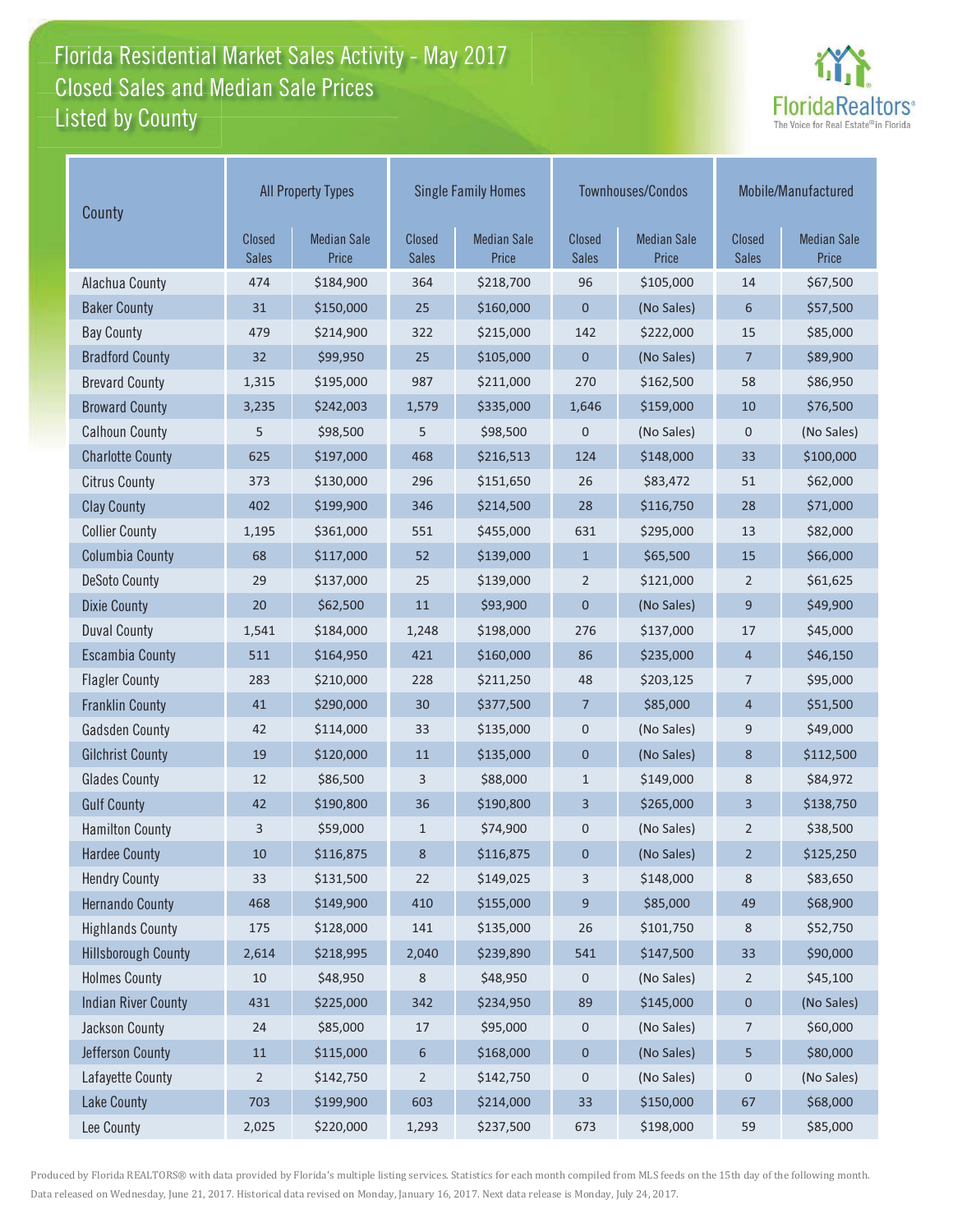## Florida Residential Market Sales Activity - May 2017 Florida Residential Market Sales Activity Listed by County Closed Sales and Median Sale Prices



| County                     | <b>All Property Types</b> |                             |                        | <b>Single Family Homes</b>  |                        | Townhouses/Condos           | Mobile/Manufactured           |                             |
|----------------------------|---------------------------|-----------------------------|------------------------|-----------------------------|------------------------|-----------------------------|-------------------------------|-----------------------------|
|                            | Closed<br><b>Sales</b>    | <b>Median Sale</b><br>Price | Closed<br><b>Sales</b> | <b>Median Sale</b><br>Price | Closed<br><b>Sales</b> | <b>Median Sale</b><br>Price | <b>Closed</b><br><b>Sales</b> | <b>Median Sale</b><br>Price |
| Alachua County             | 474                       | \$184,900                   | 364                    | \$218,700                   | 96                     | \$105,000                   | 14                            | \$67,500                    |
| <b>Baker County</b>        | 31                        | \$150,000                   | 25                     | \$160,000                   | 0                      | (No Sales)                  | 6                             | \$57,500                    |
| <b>Bay County</b>          | 479                       | \$214,900                   | 322                    | \$215,000                   | 142                    | \$222,000                   | 15                            | \$85,000                    |
| <b>Bradford County</b>     | 32                        | \$99,950                    | 25                     | \$105,000                   | $\mathbf 0$            | (No Sales)                  | $\overline{7}$                | \$89,900                    |
| <b>Brevard County</b>      | 1,315                     | \$195,000                   | 987                    | \$211,000                   | 270                    | \$162,500                   | 58                            | \$86,950                    |
| <b>Broward County</b>      | 3,235                     | \$242,003                   | 1,579                  | \$335,000                   | 1,646                  | \$159,000                   | 10                            | \$76,500                    |
| <b>Calhoun County</b>      | 5                         | \$98,500                    | 5                      | \$98,500                    | $\mathbf 0$            | (No Sales)                  | 0                             | (No Sales)                  |
| <b>Charlotte County</b>    | 625                       | \$197,000                   | 468                    | \$216,513                   | 124                    | \$148,000                   | 33                            | \$100,000                   |
| <b>Citrus County</b>       | 373                       | \$130,000                   | 296                    | \$151,650                   | 26                     | \$83,472                    | 51                            | \$62,000                    |
| <b>Clay County</b>         | 402                       | \$199,900                   | 346                    | \$214,500                   | 28                     | \$116,750                   | 28                            | \$71,000                    |
| <b>Collier County</b>      | 1,195                     | \$361,000                   | 551                    | \$455,000                   | 631                    | \$295,000                   | 13                            | \$82,000                    |
| <b>Columbia County</b>     | 68                        | \$117,000                   | 52                     | \$139,000                   | $\mathbf{1}$           | \$65,500                    | 15                            | \$66,000                    |
| <b>DeSoto County</b>       | 29                        | \$137,000                   | 25                     | \$139,000                   | $\overline{2}$         | \$121,000                   | $\overline{2}$                | \$61,625                    |
| <b>Dixie County</b>        | 20                        | \$62,500                    | 11                     | \$93,900                    | 0                      | (No Sales)                  | 9                             | \$49,900                    |
| <b>Duval County</b>        | 1,541                     | \$184,000                   | 1,248                  | \$198,000                   | 276                    | \$137,000                   | 17                            | \$45,000                    |
| <b>Escambia County</b>     | 511                       | \$164,950                   | 421                    | \$160,000                   | 86                     | \$235,000                   | $\overline{4}$                | \$46,150                    |
| <b>Flagler County</b>      | 283                       | \$210,000                   | 228                    | \$211,250                   | 48                     | \$203,125                   | 7                             | \$95,000                    |
| <b>Franklin County</b>     | 41                        | \$290,000                   | 30                     | \$377,500                   | 7                      | \$85,000                    | $\overline{a}$                | \$51,500                    |
| <b>Gadsden County</b>      | 42                        | \$114,000                   | 33                     | \$135,000                   | $\pmb{0}$              | (No Sales)                  | 9                             | \$49,000                    |
| <b>Gilchrist County</b>    | 19                        | \$120,000                   | 11                     | \$135,000                   | $\mathbf 0$            | (No Sales)                  | 8                             | \$112,500                   |
| <b>Glades County</b>       | 12                        | \$86,500                    | 3                      | \$88,000                    | $\mathbf{1}$           | \$149,000                   | 8                             | \$84,972                    |
| <b>Gulf County</b>         | 42                        | \$190,800                   | 36                     | \$190,800                   | 3                      | \$265,000                   | 3                             | \$138,750                   |
| <b>Hamilton County</b>     | 3                         | \$59,000                    | $\mathbf{1}$           | \$74,900                    | 0                      | (No Sales)                  | $\overline{2}$                | \$38,500                    |
| <b>Hardee County</b>       | 10                        | \$116,875                   | 8                      | \$116,875                   | $\pmb{0}$              | (No Sales)                  | $\overline{2}$                | \$125,250                   |
| <b>Hendry County</b>       | 33                        | \$131,500                   | 22                     | \$149,025                   | 3                      | \$148,000                   | 8                             | \$83,650                    |
| <b>Hernando County</b>     | 468                       | \$149,900                   | 410                    | \$155,000                   | 9                      | \$85,000                    | 49                            | \$68,900                    |
| <b>Highlands County</b>    | 175                       | \$128,000                   | 141                    | \$135,000                   | 26                     | \$101,750                   | 8                             | \$52,750                    |
| <b>Hillsborough County</b> | 2,614                     | \$218,995                   | 2,040                  | \$239,890                   | 541                    | \$147,500                   | 33                            | \$90,000                    |
| <b>Holmes County</b>       | 10                        | \$48,950                    | 8                      | \$48,950                    | 0                      | (No Sales)                  | $\overline{2}$                | \$45,100                    |
| <b>Indian River County</b> | 431                       | \$225,000                   | 342                    | \$234,950                   | 89                     | \$145,000                   | 0                             | (No Sales)                  |
| Jackson County             | 24                        | \$85,000                    | $17\,$                 | \$95,000                    | $\pmb{0}$              | (No Sales)                  | 7                             | \$60,000                    |
| Jefferson County           | $11\,$                    | \$115,000                   | 6                      | \$168,000                   | $\boldsymbol{0}$       | (No Sales)                  | $\sqrt{5}$                    | \$80,000                    |
| Lafayette County           | $\overline{2}$            | \$142,750                   | $\overline{c}$         | \$142,750                   | $\pmb{0}$              | (No Sales)                  | 0                             | (No Sales)                  |
| <b>Lake County</b>         | 703                       | \$199,900                   | 603                    | \$214,000                   | 33                     | \$150,000                   | 67                            | \$68,000                    |
| Lee County                 | 2,025                     | \$220,000                   | 1,293                  | \$237,500                   | 673                    | \$198,000                   | 59                            | \$85,000                    |

Produced by Florida REALTORS® with data provided by Florida's multiple listing services. Statistics for each month compiled from MLS feeds on the 15th day of the following month. Data released on Wednesday, June 21, 2017. Historical data revised on Monday, January 16, 2017. Next data release is Monday, July 24, 2017.